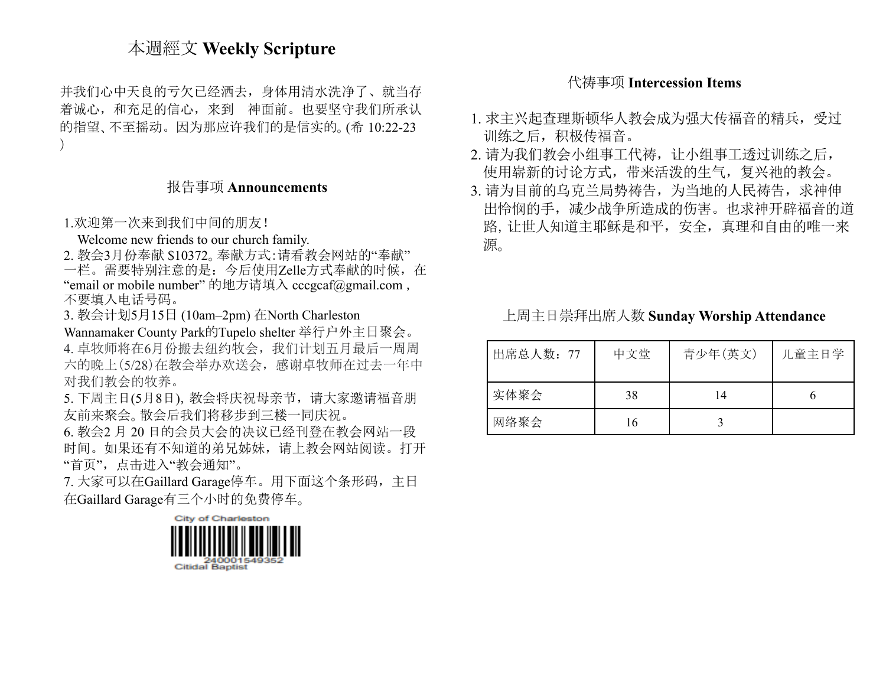# 本週經文 **Weekly Scripture**

并我们心中天良的亏欠已经洒去,身体用清水洗净了、就当存 着诚心,和充足的信心,来到 神面前。也要坚守我们所承认 的指望、不至摇动。因为那应许我们的是信实的。(希 10:22-23 )

#### 报告事项 **Announcements**

1.欢迎第一次来到我们中间的朋友!

Welcome new friends to our church family.

2. 教会3月份奉献 \$10372。奉献方式:请看教会网站的"奉献"

一栏。需要特别注意的是:今后使用Zelle方式奉献的时候,在 "email or mobile number" 的地方请填入 [cccgcaf@gmail.com](mailto:cccgcaf@gmail.com) , 不要填入电话号码。

3. 教会计划5月15日 (10am–2pm) 在North Charleston

Wannamaker County Park的Tupelo shelter 举行户外主日聚会。 4. 卓牧师将在6月份搬去纽约牧会,我们计划五月最后一周周 六的晚上(5/28)在教会举办欢送会,感谢卓牧师在过去一年中 对我们教会的牧养。

5. 下周主日(5月8日),教会将庆祝母亲节,请大家邀请福音朋 友前来聚会。散会后我们将移步到三楼一同庆祝。

6. 教会2 月 20 日的会员大会的决议已经刊登在教会网站一段 时间。如果还有不知道的弟兄姊妹,请上教会网站阅读。打开 "首页",点击进入"教会通知"。

7. 大家可以在Gaillard Garage停车。用下面这个条形码,主日 在Gaillard Garage有三个小时的免费停车。



## 代祷事项 **Intercession Items**

- 1. 求主兴起查理斯顿华人教会成为强大传福音的精兵,受过 训练之后,积极传福音。
- 2. 请为我们教会小组事工代祷,让小组事工透过训练之后, 使用崭新的讨论方式,带来活泼的生气,复兴祂的教会。
- 3. 请为目前的乌克兰局势祷告,为当地的人民祷告, 求神伸 出怜悯的手,减少战争所造成的伤害。也求神开辟福音的道 路,让世人知道主耶稣是和平,安全,真理和自由的唯一来 源。

上周主日崇拜出席人数 **Sunday Worship Attendance**

| 出席总人数: 77 | 中文堂 | 青少年(英文) | 儿童主日学 |
|-----------|-----|---------|-------|
| 实体聚会      | 38  | 14      |       |
| 网络聚会      | 16  |         |       |